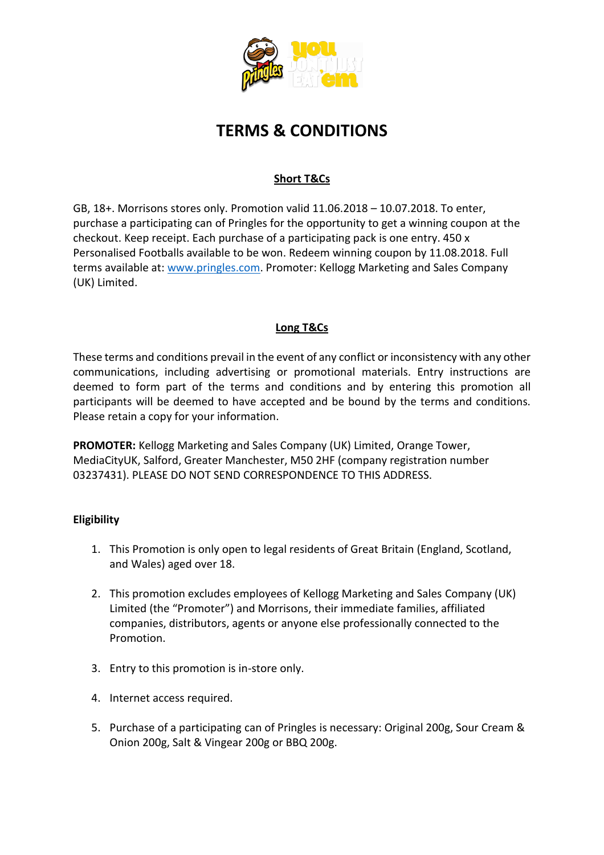

# **TERMS & CONDITIONS**

## **Short T&Cs**

GB, 18+. Morrisons stores only. Promotion valid 11.06.2018 – 10.07.2018. To enter, purchase a participating can of Pringles for the opportunity to get a winning coupon at the checkout. Keep receipt. Each purchase of a participating pack is one entry. 450 x Personalised Footballs available to be won. Redeem winning coupon by 11.08.2018. Full terms available at: [www.pringles.com.](http://www.pringles.com/) Promoter: Kellogg Marketing and Sales Company (UK) Limited.

## **Long T&Cs**

These terms and conditions prevail in the event of any conflict or inconsistency with any other communications, including advertising or promotional materials. Entry instructions are deemed to form part of the terms and conditions and by entering this promotion all participants will be deemed to have accepted and be bound by the terms and conditions. Please retain a copy for your information.

**PROMOTER:** Kellogg Marketing and Sales Company (UK) Limited, Orange Tower, MediaCityUK, Salford, Greater Manchester, M50 2HF (company registration number 03237431). PLEASE DO NOT SEND CORRESPONDENCE TO THIS ADDRESS.

## **Eligibility**

- 1. This Promotion is only open to legal residents of Great Britain (England, Scotland, and Wales) aged over 18.
- 2. This promotion excludes employees of Kellogg Marketing and Sales Company (UK) Limited (the "Promoter") and Morrisons, their immediate families, affiliated companies, distributors, agents or anyone else professionally connected to the Promotion.
- 3. Entry to this promotion is in-store only.
- 4. Internet access required.
- 5. Purchase of a participating can of Pringles is necessary: Original 200g, Sour Cream & Onion 200g, Salt & Vingear 200g or BBQ 200g.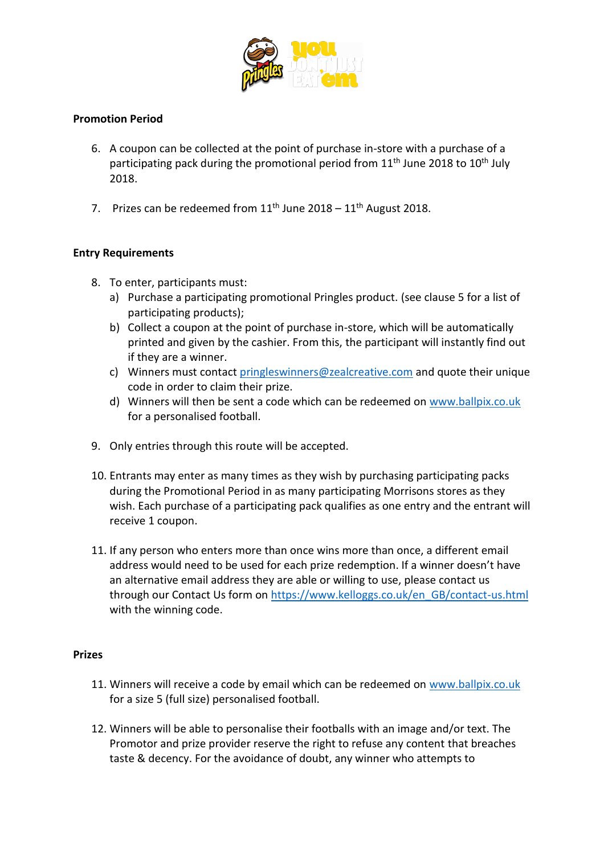

### **Promotion Period**

- 6. A coupon can be collected at the point of purchase in-store with a purchase of a participating pack during the promotional period from 11<sup>th</sup> June 2018 to 10<sup>th</sup> July 2018.
- 7. Prizes can be redeemed from  $11<sup>th</sup>$  June 2018  $11<sup>th</sup>$  August 2018.

#### **Entry Requirements**

- 8. To enter, participants must:
	- a) Purchase a participating promotional Pringles product. (see clause 5 for a list of participating products);
	- b) Collect a coupon at the point of purchase in-store, which will be automatically printed and given by the cashier. From this, the participant will instantly find out if they are a winner.
	- c) Winners must contact [pringleswinners@zealcreative.com](mailto:pringleswinners@zealcreative.com) and quote their unique code in order to claim their prize.
	- d) Winners will then be sent a code which can be redeemed on [www.ballpix.co.uk](http://www.ballpix.co.uk/) for a personalised football.
- 9. Only entries through this route will be accepted.
- 10. Entrants may enter as many times as they wish by purchasing participating packs during the Promotional Period in as many participating Morrisons stores as they wish. Each purchase of a participating pack qualifies as one entry and the entrant will receive 1 coupon.
- 11. If any person who enters more than once wins more than once, a different email address would need to be used for each prize redemption. If a winner doesn't have an alternative email address they are able or willing to use, please contact us through our Contact Us form on [https://www.kelloggs.co.uk/en\\_GB/contact-us.html](https://www.kelloggs.co.uk/en_GB/contact-us.html) with the winning code.

#### **Prizes**

- 11. Winners will receive a code by email which can be redeemed on [www.ballpix.co.uk](http://www.ballpix.co.uk/) for a size 5 (full size) personalised football.
- 12. Winners will be able to personalise their footballs with an image and/or text. The Promotor and prize provider reserve the right to refuse any content that breaches taste & decency. For the avoidance of doubt, any winner who attempts to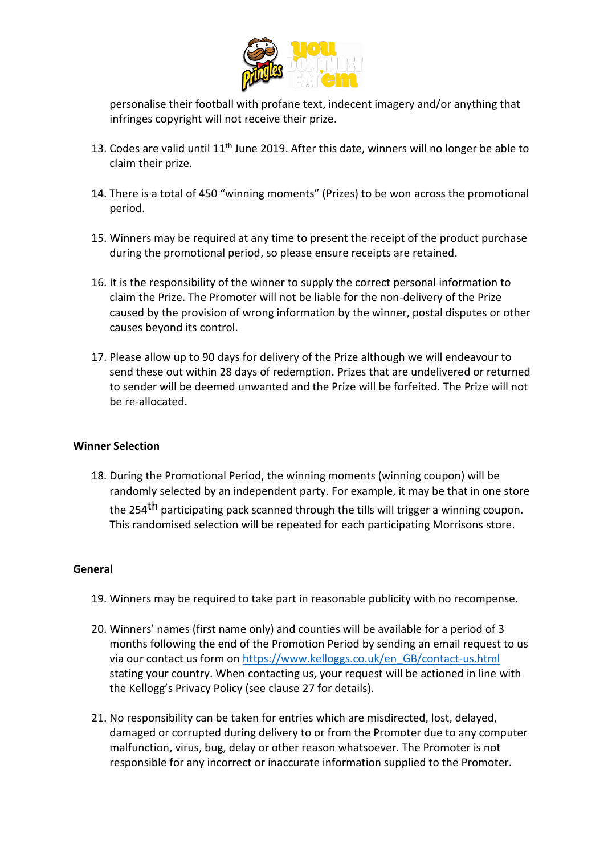

personalise their football with profane text, indecent imagery and/or anything that infringes copyright will not receive their prize.

- 13. Codes are valid until 11<sup>th</sup> June 2019. After this date, winners will no longer be able to claim their prize.
- 14. There is a total of 450 "winning moments" (Prizes) to be won across the promotional period.
- 15. Winners may be required at any time to present the receipt of the product purchase during the promotional period, so please ensure receipts are retained.
- 16. It is the responsibility of the winner to supply the correct personal information to claim the Prize. The Promoter will not be liable for the non-delivery of the Prize caused by the provision of wrong information by the winner, postal disputes or other causes beyond its control.
- 17. Please allow up to 90 days for delivery of the Prize although we will endeavour to send these out within 28 days of redemption. Prizes that are undelivered or returned to sender will be deemed unwanted and the Prize will be forfeited. The Prize will not be re-allocated.

#### **Winner Selection**

18. During the Promotional Period, the winning moments (winning coupon) will be randomly selected by an independent party. For example, it may be that in one store the 254<sup>th</sup> participating pack scanned through the tills will trigger a winning coupon. This randomised selection will be repeated for each participating Morrisons store.

#### **General**

- 19. Winners may be required to take part in reasonable publicity with no recompense.
- 20. Winners' names (first name only) and counties will be available for a period of 3 months following the end of the Promotion Period by sending an email request to us via our contact us form on [https://www.kelloggs.co.uk/en\\_GB/contact-us.html](https://www.kelloggs.co.uk/en_GB/contact-us.html) stating your country. When contacting us, your request will be actioned in line with the Kellogg's Privacy Policy (see clause 27 for details).
- 21. No responsibility can be taken for entries which are misdirected, lost, delayed, damaged or corrupted during delivery to or from the Promoter due to any computer malfunction, virus, bug, delay or other reason whatsoever. The Promoter is not responsible for any incorrect or inaccurate information supplied to the Promoter.